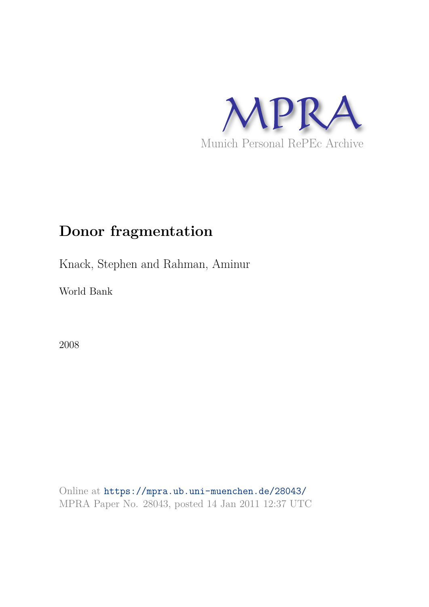

# **Donor fragmentation**

Knack, Stephen and Rahman, Aminur

World Bank

2008

Online at https://mpra.ub.uni-muenchen.de/28043/ MPRA Paper No. 28043, posted 14 Jan 2011 12:37 UTC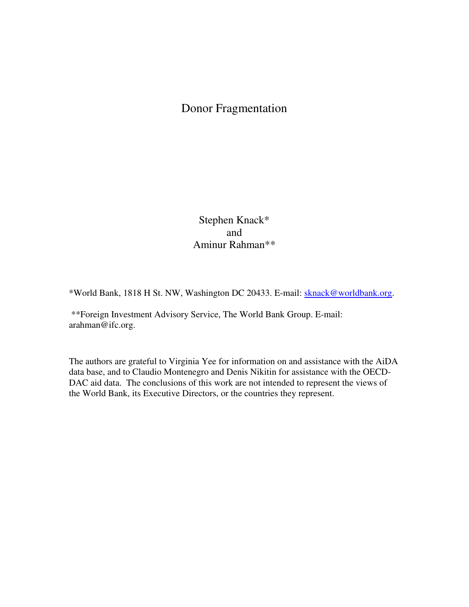## Donor Fragmentation

Stephen Knack\* and Aminur Rahman\*\*

\*World Bank, 1818 H St. NW, Washington DC 20433. E-mail: [sknack@worldbank.org.](mailto:sknack@worldbank.org)

 \*\*Foreign Investment Advisory Service, The World Bank Group. E-mail: arahman@ifc.org.

The authors are grateful to Virginia Yee for information on and assistance with the AiDA data base, and to Claudio Montenegro and Denis Nikitin for assistance with the OECD-DAC aid data. The conclusions of this work are not intended to represent the views of the World Bank, its Executive Directors, or the countries they represent.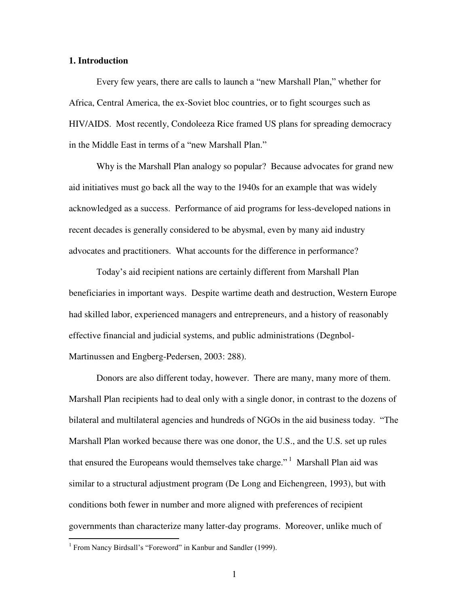#### **1. Introduction**

Every few years, there are calls to launch a "new Marshall Plan," whether for Africa, Central America, the ex-Soviet bloc countries, or to fight scourges such as HIV/AIDS. Most recently, Condoleeza Rice framed US plans for spreading democracy in the Middle East in terms of a "new Marshall Plan."

Why is the Marshall Plan analogy so popular? Because advocates for grand new aid initiatives must go back all the way to the 1940s for an example that was widely acknowledged as a success. Performance of aid programs for less-developed nations in recent decades is generally considered to be abysmal, even by many aid industry advocates and practitioners. What accounts for the difference in performance?

Today's aid recipient nations are certainly different from Marshall Plan beneficiaries in important ways. Despite wartime death and destruction, Western Europe had skilled labor, experienced managers and entrepreneurs, and a history of reasonably effective financial and judicial systems, and public administrations (Degnbol-Martinussen and Engberg-Pedersen, 2003: 288).

Donors are also different today, however. There are many, many more of them. Marshall Plan recipients had to deal only with a single donor, in contrast to the dozens of bilateral and multilateral agencies and hundreds of NGOs in the aid business today. "The Marshall Plan worked because there was one donor, the U.S., and the U.S. set up rules that ensured the Europeans would themselves take charge."<sup>1</sup> Marshall Plan aid was similar to a structural adjustment program (De Long and Eichengreen, 1993), but with conditions both fewer in number and more aligned with preferences of recipient governments than characterize many latter-day programs. Moreover, unlike much of

<sup>&</sup>lt;sup>1</sup> From Nancy Birdsall's "Foreword" in Kanbur and Sandler (1999).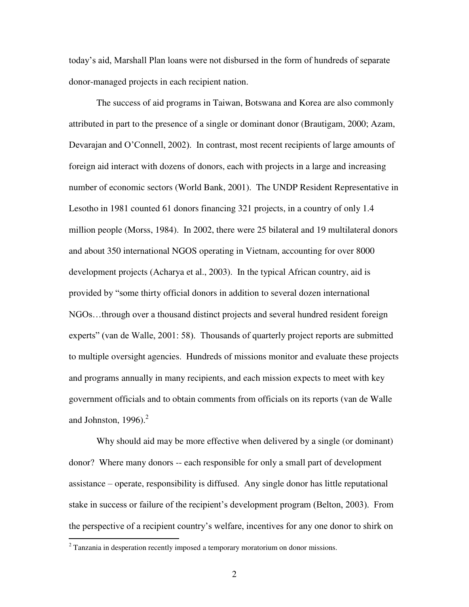today's aid, Marshall Plan loans were not disbursed in the form of hundreds of separate donor-managed projects in each recipient nation.

The success of aid programs in Taiwan, Botswana and Korea are also commonly attributed in part to the presence of a single or dominant donor (Brautigam, 2000; Azam, Devarajan and O'Connell, 2002). In contrast, most recent recipients of large amounts of foreign aid interact with dozens of donors, each with projects in a large and increasing number of economic sectors (World Bank, 2001). The UNDP Resident Representative in Lesotho in 1981 counted 61 donors financing 321 projects, in a country of only 1.4 million people (Morss, 1984). In 2002, there were 25 bilateral and 19 multilateral donors and about 350 international NGOS operating in Vietnam, accounting for over 8000 development projects (Acharya et al., 2003). In the typical African country, aid is provided by "some thirty official donors in addition to several dozen international NGOs…through over a thousand distinct projects and several hundred resident foreign experts" (van de Walle, 2001: 58). Thousands of quarterly project reports are submitted to multiple oversight agencies. Hundreds of missions monitor and evaluate these projects and programs annually in many recipients, and each mission expects to meet with key government officials and to obtain comments from officials on its reports (van de Walle and Johnston,  $1996$ .<sup>2</sup>

Why should aid may be more effective when delivered by a single (or dominant) donor? Where many donors -- each responsible for only a small part of development assistance – operate, responsibility is diffused. Any single donor has little reputational stake in success or failure of the recipient's development program (Belton, 2003). From the perspective of a recipient country's welfare, incentives for any one donor to shirk on

<sup>&</sup>lt;sup>2</sup> Tanzania in desperation recently imposed a temporary moratorium on donor missions.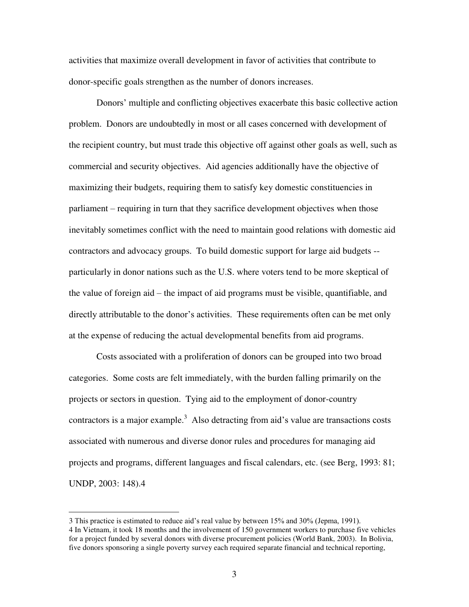activities that maximize overall development in favor of activities that contribute to donor-specific goals strengthen as the number of donors increases.

Donors' multiple and conflicting objectives exacerbate this basic collective action problem. Donors are undoubtedly in most or all cases concerned with development of the recipient country, but must trade this objective off against other goals as well, such as commercial and security objectives. Aid agencies additionally have the objective of maximizing their budgets, requiring them to satisfy key domestic constituencies in parliament – requiring in turn that they sacrifice development objectives when those inevitably sometimes conflict with the need to maintain good relations with domestic aid contractors and advocacy groups. To build domestic support for large aid budgets - particularly in donor nations such as the U.S. where voters tend to be more skeptical of the value of foreign aid – the impact of aid programs must be visible, quantifiable, and directly attributable to the donor's activities. These requirements often can be met only at the expense of reducing the actual developmental benefits from aid programs.

Costs associated with a proliferation of donors can be grouped into two broad categories. Some costs are felt immediately, with the burden falling primarily on the projects or sectors in question. Tying aid to the employment of donor-country contractors is a major example.<sup>3</sup> Also detracting from aid's value are transactions costs associated with numerous and diverse donor rules and procedures for managing aid projects and programs, different languages and fiscal calendars, etc. (see Berg, 1993: 81; UNDP, 2003: 148).4

<sup>3</sup> This practice is estimated to reduce aid's real value by between 15% and 30% (Jepma, 1991). 4 In Vietnam, it took 18 months and the involvement of 150 government workers to purchase five vehicles for a project funded by several donors with diverse procurement policies (World Bank, 2003). In Bolivia, five donors sponsoring a single poverty survey each required separate financial and technical reporting,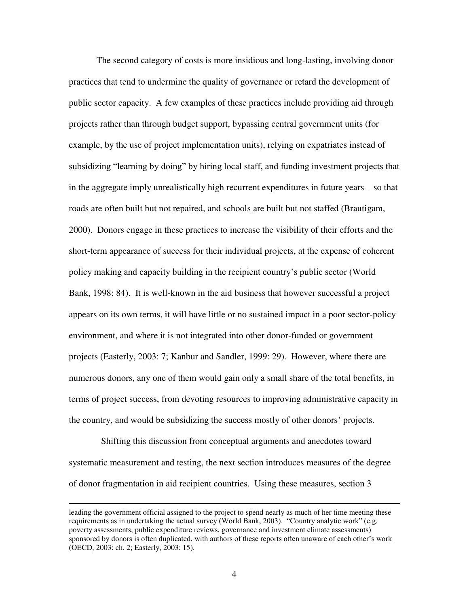The second category of costs is more insidious and long-lasting, involving donor practices that tend to undermine the quality of governance or retard the development of public sector capacity. A few examples of these practices include providing aid through projects rather than through budget support, bypassing central government units (for example, by the use of project implementation units), relying on expatriates instead of subsidizing "learning by doing" by hiring local staff, and funding investment projects that in the aggregate imply unrealistically high recurrent expenditures in future years – so that roads are often built but not repaired, and schools are built but not staffed (Brautigam, 2000). Donors engage in these practices to increase the visibility of their efforts and the short-term appearance of success for their individual projects, at the expense of coherent policy making and capacity building in the recipient country's public sector (World Bank, 1998: 84). It is well-known in the aid business that however successful a project appears on its own terms, it will have little or no sustained impact in a poor sector-policy environment, and where it is not integrated into other donor-funded or government projects (Easterly, 2003: 7; Kanbur and Sandler, 1999: 29). However, where there are numerous donors, any one of them would gain only a small share of the total benefits, in terms of project success, from devoting resources to improving administrative capacity in the country, and would be subsidizing the success mostly of other donors' projects.

 Shifting this discussion from conceptual arguments and anecdotes toward systematic measurement and testing, the next section introduces measures of the degree of donor fragmentation in aid recipient countries. Using these measures, section 3

leading the government official assigned to the project to spend nearly as much of her time meeting these requirements as in undertaking the actual survey (World Bank, 2003). "Country analytic work" (e.g. poverty assessments, public expenditure reviews, governance and investment climate assessments) sponsored by donors is often duplicated, with authors of these reports often unaware of each other's work (OECD, 2003: ch. 2; Easterly, 2003: 15).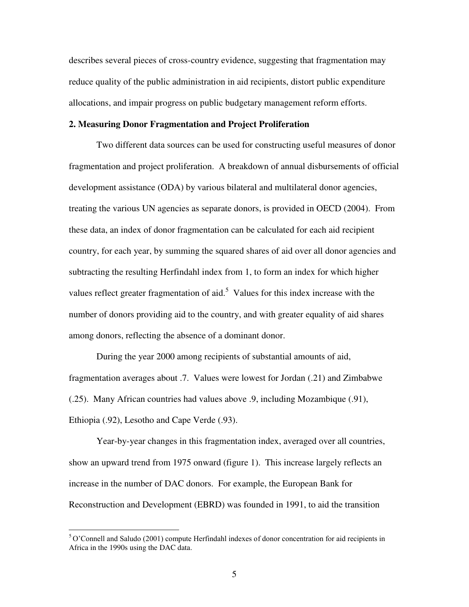describes several pieces of cross-country evidence, suggesting that fragmentation may reduce quality of the public administration in aid recipients, distort public expenditure allocations, and impair progress on public budgetary management reform efforts.

#### **2. Measuring Donor Fragmentation and Project Proliferation**

Two different data sources can be used for constructing useful measures of donor fragmentation and project proliferation. A breakdown of annual disbursements of official development assistance (ODA) by various bilateral and multilateral donor agencies, treating the various UN agencies as separate donors, is provided in OECD (2004). From these data, an index of donor fragmentation can be calculated for each aid recipient country, for each year, by summing the squared shares of aid over all donor agencies and subtracting the resulting Herfindahl index from 1, to form an index for which higher values reflect greater fragmentation of aid.<sup>5</sup> Values for this index increase with the number of donors providing aid to the country, and with greater equality of aid shares among donors, reflecting the absence of a dominant donor.

During the year 2000 among recipients of substantial amounts of aid, fragmentation averages about .7. Values were lowest for Jordan (.21) and Zimbabwe (.25). Many African countries had values above .9, including Mozambique (.91), Ethiopia (.92), Lesotho and Cape Verde (.93).

Year-by-year changes in this fragmentation index, averaged over all countries, show an upward trend from 1975 onward (figure 1). This increase largely reflects an increase in the number of DAC donors. For example, the European Bank for Reconstruction and Development (EBRD) was founded in 1991, to aid the transition

 $5$ O'Connell and Saludo (2001) compute Herfindahl indexes of donor concentration for aid recipients in Africa in the 1990s using the DAC data.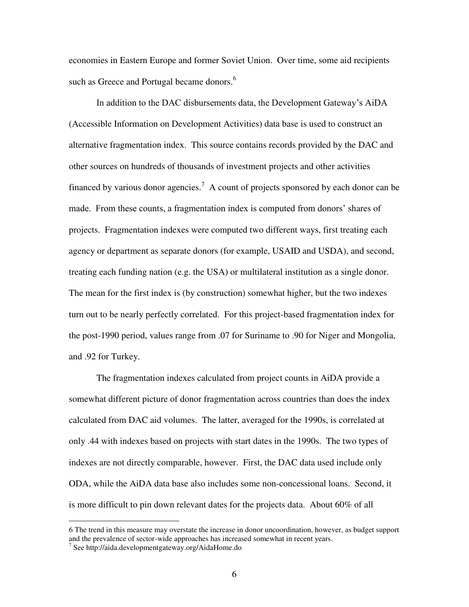economies in Eastern Europe and former Soviet Union. Over time, some aid recipients such as Greece and Portugal became donors.<sup>6</sup>

In addition to the DAC disbursements data, the Development Gateway's AiDA (Accessible Information on Development Activities) data base is used to construct an alternative fragmentation index. This source contains records provided by the DAC and other sources on hundreds of thousands of investment projects and other activities financed by various donor agencies.<sup>7</sup> A count of projects sponsored by each donor can be made. From these counts, a fragmentation index is computed from donors' shares of projects. Fragmentation indexes were computed two different ways, first treating each agency or department as separate donors (for example, USAID and USDA), and second, treating each funding nation (e.g. the USA) or multilateral institution as a single donor. The mean for the first index is (by construction) somewhat higher, but the two indexes turn out to be nearly perfectly correlated. For this project-based fragmentation index for the post-1990 period, values range from .07 for Suriname to .90 for Niger and Mongolia, and .92 for Turkey.

 The fragmentation indexes calculated from project counts in AiDA provide a somewhat different picture of donor fragmentation across countries than does the index calculated from DAC aid volumes. The latter, averaged for the 1990s, is correlated at only .44 with indexes based on projects with start dates in the 1990s. The two types of indexes are not directly comparable, however. First, the DAC data used include only ODA, while the AiDA data base also includes some non-concessional loans. Second, it is more difficult to pin down relevant dates for the projects data. About 60% of all

<sup>6</sup> The trend in this measure may overstate the increase in donor uncoordination, however, as budget support and the prevalence of sector-wide approaches has increased somewhat in recent years.

<sup>7</sup> See http://aida.developmentgateway.org/AidaHome.do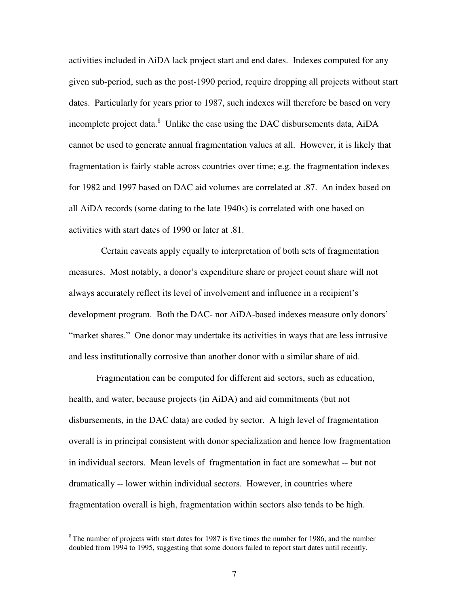activities included in AiDA lack project start and end dates. Indexes computed for any given sub-period, such as the post-1990 period, require dropping all projects without start dates. Particularly for years prior to 1987, such indexes will therefore be based on very incomplete project data.<sup>8</sup> Unlike the case using the DAC disbursements data, AiDA cannot be used to generate annual fragmentation values at all. However, it is likely that fragmentation is fairly stable across countries over time; e.g. the fragmentation indexes for 1982 and 1997 based on DAC aid volumes are correlated at .87. An index based on all AiDA records (some dating to the late 1940s) is correlated with one based on activities with start dates of 1990 or later at .81.

 Certain caveats apply equally to interpretation of both sets of fragmentation measures. Most notably, a donor's expenditure share or project count share will not always accurately reflect its level of involvement and influence in a recipient's development program. Both the DAC- nor AiDA-based indexes measure only donors' ―market shares.‖ One donor may undertake its activities in ways that are less intrusive and less institutionally corrosive than another donor with a similar share of aid.

 Fragmentation can be computed for different aid sectors, such as education, health, and water, because projects (in AiDA) and aid commitments (but not disbursements, in the DAC data) are coded by sector. A high level of fragmentation overall is in principal consistent with donor specialization and hence low fragmentation in individual sectors. Mean levels of fragmentation in fact are somewhat -- but not dramatically -- lower within individual sectors. However, in countries where fragmentation overall is high, fragmentation within sectors also tends to be high.

<sup>&</sup>lt;sup>8</sup>The number of projects with start dates for 1987 is five times the number for 1986, and the number doubled from 1994 to 1995, suggesting that some donors failed to report start dates until recently.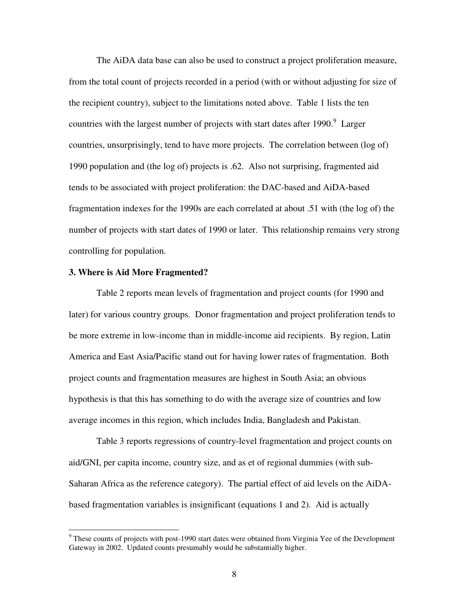The AiDA data base can also be used to construct a project proliferation measure, from the total count of projects recorded in a period (with or without adjusting for size of the recipient country), subject to the limitations noted above. Table 1 lists the ten countries with the largest number of projects with start dates after  $1990.<sup>9</sup>$  Larger countries, unsurprisingly, tend to have more projects. The correlation between (log of) 1990 population and (the log of) projects is .62. Also not surprising, fragmented aid tends to be associated with project proliferation: the DAC-based and AiDA-based fragmentation indexes for the 1990s are each correlated at about .51 with (the log of) the number of projects with start dates of 1990 or later. This relationship remains very strong controlling for population.

#### **3. Where is Aid More Fragmented?**

 Table 2 reports mean levels of fragmentation and project counts (for 1990 and later) for various country groups. Donor fragmentation and project proliferation tends to be more extreme in low-income than in middle-income aid recipients. By region, Latin America and East Asia/Pacific stand out for having lower rates of fragmentation. Both project counts and fragmentation measures are highest in South Asia; an obvious hypothesis is that this has something to do with the average size of countries and low average incomes in this region, which includes India, Bangladesh and Pakistan.

 Table 3 reports regressions of country-level fragmentation and project counts on aid/GNI, per capita income, country size, and as et of regional dummies (with sub-Saharan Africa as the reference category). The partial effect of aid levels on the AiDAbased fragmentation variables is insignificant (equations 1 and 2). Aid is actually

<sup>&</sup>lt;sup>9</sup> These counts of projects with post-1990 start dates were obtained from Virginia Yee of the Development Gateway in 2002. Updated counts presumably would be substantially higher.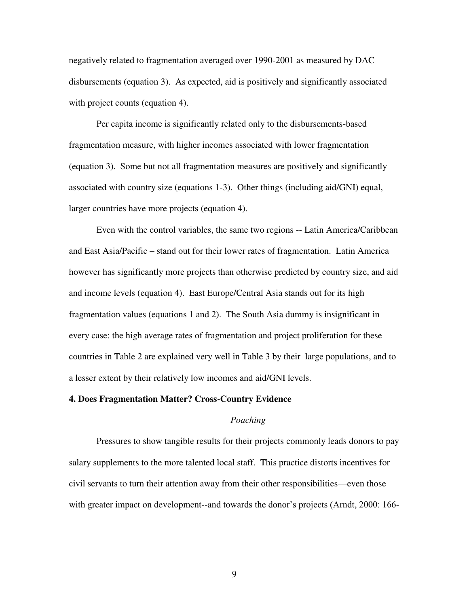negatively related to fragmentation averaged over 1990-2001 as measured by DAC disbursements (equation 3). As expected, aid is positively and significantly associated with project counts (equation 4).

 Per capita income is significantly related only to the disbursements-based fragmentation measure, with higher incomes associated with lower fragmentation (equation 3). Some but not all fragmentation measures are positively and significantly associated with country size (equations 1-3). Other things (including aid/GNI) equal, larger countries have more projects (equation 4).

 Even with the control variables, the same two regions -- Latin America/Caribbean and East Asia/Pacific – stand out for their lower rates of fragmentation. Latin America however has significantly more projects than otherwise predicted by country size, and aid and income levels (equation 4). East Europe/Central Asia stands out for its high fragmentation values (equations 1 and 2). The South Asia dummy is insignificant in every case: the high average rates of fragmentation and project proliferation for these countries in Table 2 are explained very well in Table 3 by their large populations, and to a lesser extent by their relatively low incomes and aid/GNI levels.

#### **4. Does Fragmentation Matter? Cross-Country Evidence**

#### *Poaching*

Pressures to show tangible results for their projects commonly leads donors to pay salary supplements to the more talented local staff. This practice distorts incentives for civil servants to turn their attention away from their other responsibilities—even those with greater impact on development--and towards the donor's projects (Arndt, 2000: 166-

9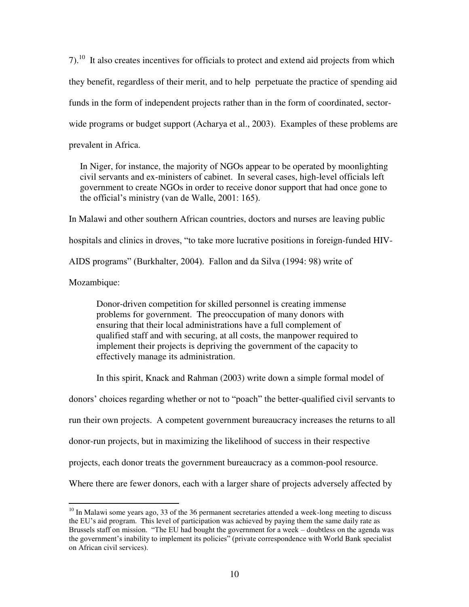7).<sup>10</sup> It also creates incentives for officials to protect and extend aid projects from which they benefit, regardless of their merit, and to help perpetuate the practice of spending aid funds in the form of independent projects rather than in the form of coordinated, sectorwide programs or budget support (Acharya et al., 2003). Examples of these problems are prevalent in Africa.

In Niger, for instance, the majority of NGOs appear to be operated by moonlighting civil servants and ex-ministers of cabinet. In several cases, high-level officials left government to create NGOs in order to receive donor support that had once gone to the official's ministry (van de Walle, 2001: 165).

In Malawi and other southern African countries, doctors and nurses are leaving public hospitals and clinics in droves, "to take more lucrative positions in foreign-funded HIV-

AIDS programs" (Burkhalter, 2004). Fallon and da Silva (1994: 98) write of

Mozambique:

Donor-driven competition for skilled personnel is creating immense problems for government. The preoccupation of many donors with ensuring that their local administrations have a full complement of qualified staff and with securing, at all costs, the manpower required to implement their projects is depriving the government of the capacity to effectively manage its administration.

In this spirit, Knack and Rahman (2003) write down a simple formal model of

donors' choices regarding whether or not to "poach" the better-qualified civil servants to

run their own projects. A competent government bureaucracy increases the returns to all

donor-run projects, but in maximizing the likelihood of success in their respective

projects, each donor treats the government bureaucracy as a common-pool resource.

Where there are fewer donors, each with a larger share of projects adversely affected by

 $\overline{a}$  $10$  In Malawi some years ago, 33 of the 36 permanent secretaries attended a week-long meeting to discuss the EU's aid program. This level of participation was achieved by paying them the same daily rate as Brussels staff on mission. "The EU had bought the government for a week – doubtless on the agenda was the government's inability to implement its policies" (private correspondence with World Bank specialist on African civil services).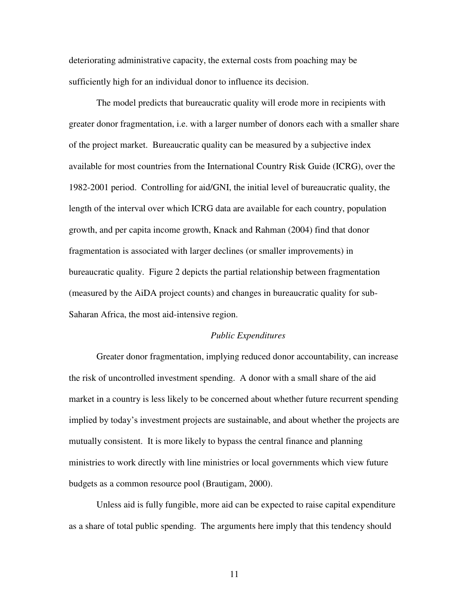deteriorating administrative capacity, the external costs from poaching may be sufficiently high for an individual donor to influence its decision.

The model predicts that bureaucratic quality will erode more in recipients with greater donor fragmentation, i.e. with a larger number of donors each with a smaller share of the project market. Bureaucratic quality can be measured by a subjective index available for most countries from the International Country Risk Guide (ICRG), over the 1982-2001 period. Controlling for aid/GNI, the initial level of bureaucratic quality, the length of the interval over which ICRG data are available for each country, population growth, and per capita income growth, Knack and Rahman (2004) find that donor fragmentation is associated with larger declines (or smaller improvements) in bureaucratic quality. Figure 2 depicts the partial relationship between fragmentation (measured by the AiDA project counts) and changes in bureaucratic quality for sub-Saharan Africa, the most aid-intensive region.

#### *Public Expenditures*

Greater donor fragmentation, implying reduced donor accountability, can increase the risk of uncontrolled investment spending. A donor with a small share of the aid market in a country is less likely to be concerned about whether future recurrent spending implied by today's investment projects are sustainable, and about whether the projects are mutually consistent. It is more likely to bypass the central finance and planning ministries to work directly with line ministries or local governments which view future budgets as a common resource pool (Brautigam, 2000).

Unless aid is fully fungible, more aid can be expected to raise capital expenditure as a share of total public spending. The arguments here imply that this tendency should

11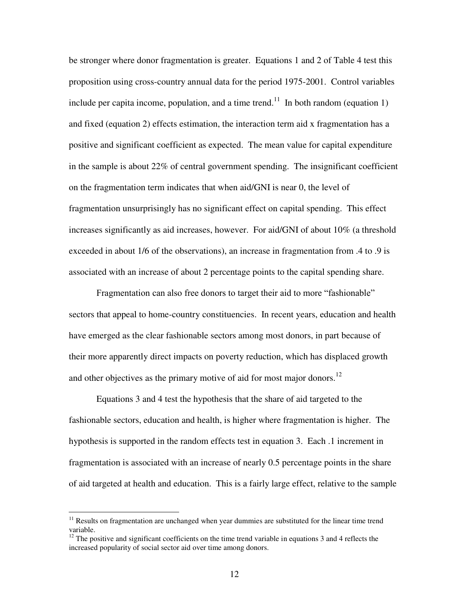be stronger where donor fragmentation is greater. Equations 1 and 2 of Table 4 test this proposition using cross-country annual data for the period 1975-2001. Control variables include per capita income, population, and a time trend.<sup>11</sup> In both random (equation 1) and fixed (equation 2) effects estimation, the interaction term aid x fragmentation has a positive and significant coefficient as expected. The mean value for capital expenditure in the sample is about 22% of central government spending. The insignificant coefficient on the fragmentation term indicates that when aid/GNI is near 0, the level of fragmentation unsurprisingly has no significant effect on capital spending. This effect increases significantly as aid increases, however. For aid/GNI of about 10% (a threshold exceeded in about 1/6 of the observations), an increase in fragmentation from .4 to .9 is associated with an increase of about 2 percentage points to the capital spending share.

Fragmentation can also free donors to target their aid to more "fashionable" sectors that appeal to home-country constituencies. In recent years, education and health have emerged as the clear fashionable sectors among most donors, in part because of their more apparently direct impacts on poverty reduction, which has displaced growth and other objectives as the primary motive of aid for most major donors.<sup>12</sup>

Equations 3 and 4 test the hypothesis that the share of aid targeted to the fashionable sectors, education and health, is higher where fragmentation is higher. The hypothesis is supported in the random effects test in equation 3. Each .1 increment in fragmentation is associated with an increase of nearly 0.5 percentage points in the share of aid targeted at health and education. This is a fairly large effect, relative to the sample

<sup>&</sup>lt;sup>11</sup> Results on fragmentation are unchanged when year dummies are substituted for the linear time trend variable.

 $12$  The positive and significant coefficients on the time trend variable in equations 3 and 4 reflects the increased popularity of social sector aid over time among donors.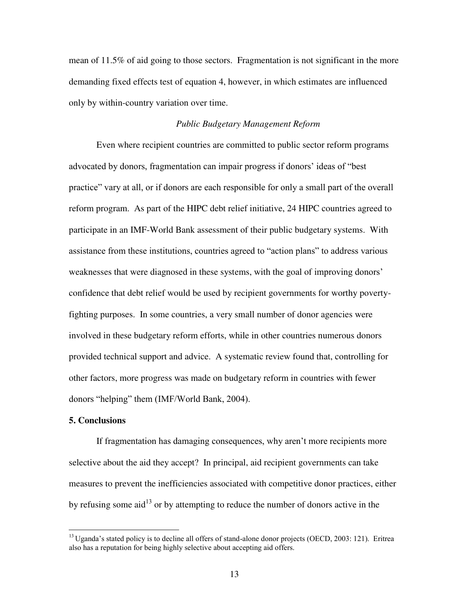mean of 11.5% of aid going to those sectors. Fragmentation is not significant in the more demanding fixed effects test of equation 4, however, in which estimates are influenced only by within-country variation over time.

#### *Public Budgetary Management Reform*

 Even where recipient countries are committed to public sector reform programs advocated by donors, fragmentation can impair progress if donors' ideas of "best practice" vary at all, or if donors are each responsible for only a small part of the overall reform program. As part of the HIPC debt relief initiative, 24 HIPC countries agreed to participate in an IMF-World Bank assessment of their public budgetary systems. With assistance from these institutions, countries agreed to "action plans" to address various weaknesses that were diagnosed in these systems, with the goal of improving donors' confidence that debt relief would be used by recipient governments for worthy povertyfighting purposes. In some countries, a very small number of donor agencies were involved in these budgetary reform efforts, while in other countries numerous donors provided technical support and advice. A systematic review found that, controlling for other factors, more progress was made on budgetary reform in countries with fewer donors "helping" them (IMF/World Bank, 2004).

#### **5. Conclusions**

 $\overline{a}$ 

If fragmentation has damaging consequences, why aren't more recipients more selective about the aid they accept? In principal, aid recipient governments can take measures to prevent the inefficiencies associated with competitive donor practices, either by refusing some aid<sup>13</sup> or by attempting to reduce the number of donors active in the

<sup>&</sup>lt;sup>13</sup> Uganda's stated policy is to decline all offers of stand-alone donor projects (OECD, 2003: 121). Eritrea also has a reputation for being highly selective about accepting aid offers.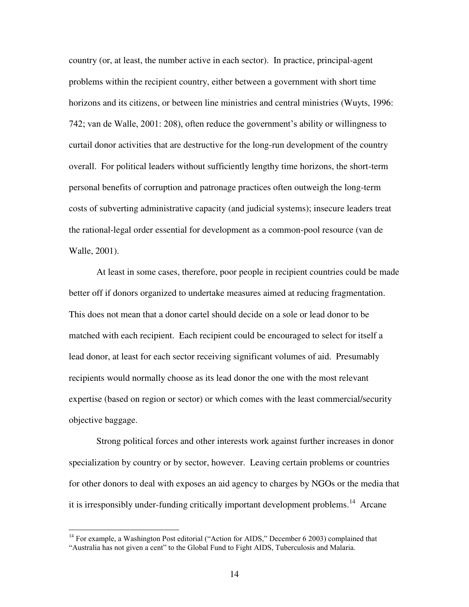country (or, at least, the number active in each sector). In practice, principal-agent problems within the recipient country, either between a government with short time horizons and its citizens, or between line ministries and central ministries (Wuyts, 1996: 742; van de Walle, 2001: 208), often reduce the government's ability or willingness to curtail donor activities that are destructive for the long-run development of the country overall. For political leaders without sufficiently lengthy time horizons, the short-term personal benefits of corruption and patronage practices often outweigh the long-term costs of subverting administrative capacity (and judicial systems); insecure leaders treat the rational-legal order essential for development as a common-pool resource (van de Walle, 2001).

At least in some cases, therefore, poor people in recipient countries could be made better off if donors organized to undertake measures aimed at reducing fragmentation. This does not mean that a donor cartel should decide on a sole or lead donor to be matched with each recipient. Each recipient could be encouraged to select for itself a lead donor, at least for each sector receiving significant volumes of aid. Presumably recipients would normally choose as its lead donor the one with the most relevant expertise (based on region or sector) or which comes with the least commercial/security objective baggage.

Strong political forces and other interests work against further increases in donor specialization by country or by sector, however. Leaving certain problems or countries for other donors to deal with exposes an aid agency to charges by NGOs or the media that it is irresponsibly under-funding critically important development problems.<sup>14</sup> Arcane

<sup>&</sup>lt;sup>14</sup> For example, a Washington Post editorial ("Action for AIDS," December 6 2003) complained that ―Australia has not given a cent‖ to the Global Fund to Fight AIDS, Tuberculosis and Malaria.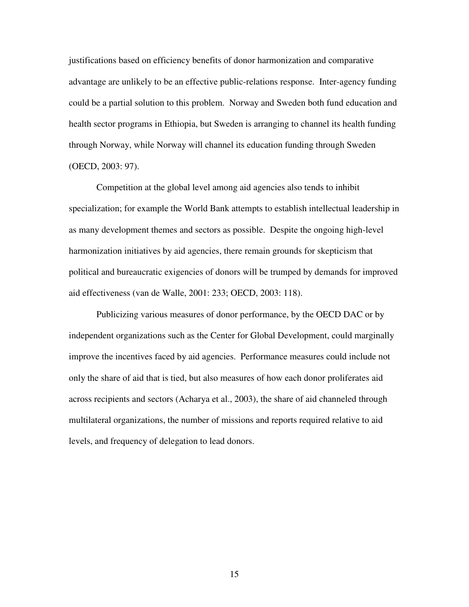justifications based on efficiency benefits of donor harmonization and comparative advantage are unlikely to be an effective public-relations response. Inter-agency funding could be a partial solution to this problem. Norway and Sweden both fund education and health sector programs in Ethiopia, but Sweden is arranging to channel its health funding through Norway, while Norway will channel its education funding through Sweden (OECD, 2003: 97).

Competition at the global level among aid agencies also tends to inhibit specialization; for example the World Bank attempts to establish intellectual leadership in as many development themes and sectors as possible. Despite the ongoing high-level harmonization initiatives by aid agencies, there remain grounds for skepticism that political and bureaucratic exigencies of donors will be trumped by demands for improved aid effectiveness (van de Walle, 2001: 233; OECD, 2003: 118).

 Publicizing various measures of donor performance, by the OECD DAC or by independent organizations such as the Center for Global Development, could marginally improve the incentives faced by aid agencies. Performance measures could include not only the share of aid that is tied, but also measures of how each donor proliferates aid across recipients and sectors (Acharya et al., 2003), the share of aid channeled through multilateral organizations, the number of missions and reports required relative to aid levels, and frequency of delegation to lead donors.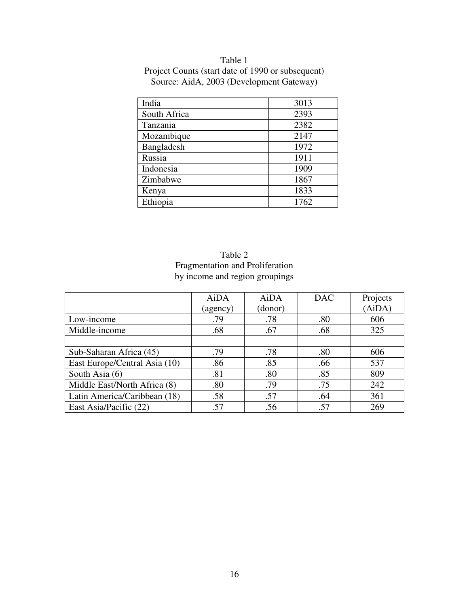| India        | 3013 |
|--------------|------|
| South Africa | 2393 |
| Tanzania     | 2382 |
| Mozambique   | 2147 |
| Bangladesh   | 1972 |
| Russia       | 1911 |
| Indonesia    | 1909 |
| Zimbabwe     | 1867 |
| Kenya        | 1833 |
| Ethiopia     | 1762 |

| Table 1                                           |
|---------------------------------------------------|
| Project Counts (start date of 1990 or subsequent) |
| Source: AidA, 2003 (Development Gateway)          |

### Table 2 Fragmentation and Proliferation by income and region groupings

|                               | AiDA<br>(agency) | AiDA<br>(donor) | <b>DAC</b> | Projects<br>(AiDA) |
|-------------------------------|------------------|-----------------|------------|--------------------|
| Low-income                    | .79              | .78             | .80        | 606                |
| Middle-income                 | .68              | .67             | .68        | 325                |
|                               |                  |                 |            |                    |
| Sub-Saharan Africa (45)       | .79              | .78             | .80        | 606                |
| East Europe/Central Asia (10) | .86              | .85             | .66        | 537                |
| South Asia $(6)$              | .81              | .80             | .85        | 809                |
| Middle East/North Africa (8)  | .80              | .79             | .75        | 242                |
| Latin America/Caribbean (18)  | .58              | .57             | .64        | 361                |
| East Asia/Pacific (22)        | .57              | .56             | .57        | 269                |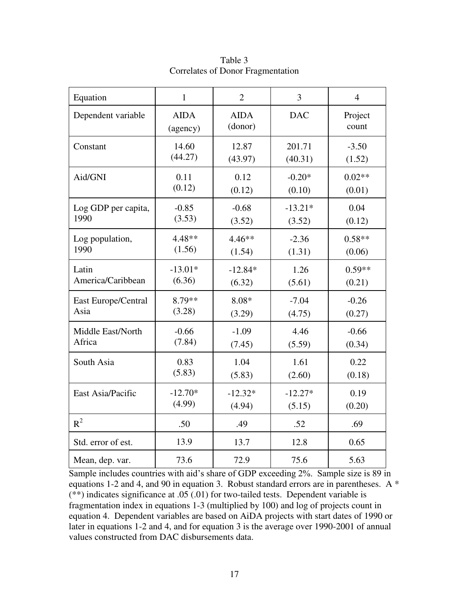| Equation                   | $\mathbf{1}$            | $\overline{2}$         | 3          | $\overline{4}$   |
|----------------------------|-------------------------|------------------------|------------|------------------|
| Dependent variable         | <b>AIDA</b><br>(agency) | <b>AIDA</b><br>(donor) | <b>DAC</b> | Project<br>count |
| Constant                   | 14.60                   | 12.87                  | 201.71     | $-3.50$          |
|                            | (44.27)                 | (43.97)                | (40.31)    | (1.52)           |
| Aid/GNI                    | 0.11                    | 0.12                   | $-0.20*$   | $0.02**$         |
|                            | (0.12)                  | (0.12)                 | (0.10)     | (0.01)           |
| Log GDP per capita,        | $-0.85$                 | $-0.68$                | $-13.21*$  | 0.04             |
| 1990                       | (3.53)                  | (3.52)                 | (3.52)     | (0.12)           |
| Log population,            | 4.48**                  | 4.46**                 | $-2.36$    | $0.58**$         |
| 1990                       | (1.56)                  | (1.54)                 | (1.31)     | (0.06)           |
| Latin                      | $-13.01*$               | $-12.84*$              | 1.26       | $0.59**$         |
| America/Caribbean          | (6.36)                  | (6.32)                 | (5.61)     | (0.21)           |
| <b>East Europe/Central</b> | $8.79**$                | $8.08*$                | $-7.04$    | $-0.26$          |
| Asia                       | (3.28)                  | (3.29)                 | (4.75)     | (0.27)           |
| Middle East/North          | $-0.66$                 | $-1.09$                | 4.46       | $-0.66$          |
| Africa                     | (7.84)                  | (7.45)                 | (5.59)     | (0.34)           |
| South Asia                 | 0.83                    | 1.04                   | 1.61       | 0.22             |
|                            | (5.83)                  | (5.83)                 | (2.60)     | (0.18)           |
| East Asia/Pacific          | $-12.70*$               | $-12.32*$              | $-12.27*$  | 0.19             |
|                            | (4.99)                  | (4.94)                 | (5.15)     | (0.20)           |
| $R^2$                      | .50                     | .49                    | .52        | .69              |
| Std. error of est.         | 13.9                    | 13.7                   | 12.8       | 0.65             |
| Mean, dep. var.            | 73.6                    | 72.9                   | 75.6       | 5.63             |

Table 3 Correlates of Donor Fragmentation

Sample includes countries with aid's share of GDP exceeding 2%. Sample size is 89 in equations 1-2 and 4, and 90 in equation 3. Robust standard errors are in parentheses. A \* (\*\*) indicates significance at .05 (.01) for two-tailed tests. Dependent variable is fragmentation index in equations 1-3 (multiplied by 100) and log of projects count in equation 4. Dependent variables are based on AiDA projects with start dates of 1990 or later in equations 1-2 and 4, and for equation 3 is the average over 1990-2001 of annual values constructed from DAC disbursements data.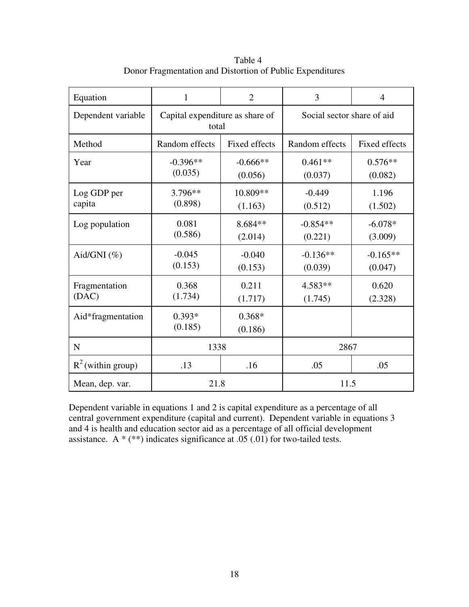| Equation               | 1                                        | $\overline{2}$        | 3                          | $\overline{4}$        |
|------------------------|------------------------------------------|-----------------------|----------------------------|-----------------------|
| Dependent variable     | Capital expenditure as share of<br>total |                       | Social sector share of aid |                       |
| Method                 | Random effects                           | <b>Fixed effects</b>  | Random effects             | <b>Fixed effects</b>  |
| Year                   | $-0.396**$<br>(0.035)                    | $-0.666**$<br>(0.056) | $0.461**$<br>(0.037)       | $0.576**$<br>(0.082)  |
| Log GDP per<br>capita  | 3.796**<br>(0.898)                       | 10.809**<br>(1.163)   | $-0.449$<br>(0.512)        | 1.196<br>(1.502)      |
| Log population         | 0.081<br>(0.586)                         | 8.684**<br>(2.014)    | $-0.854**$<br>(0.221)      | $-6.078*$<br>(3.009)  |
| Aid/GNI $(\%)$         | $-0.045$<br>(0.153)                      | $-0.040$<br>(0.153)   | $-0.136**$<br>(0.039)      | $-0.165**$<br>(0.047) |
| Fragmentation<br>(DAC) | 0.368<br>(1.734)                         | 0.211<br>(1.717)      | $4.583**$<br>(1.745)       | 0.620<br>(2.328)      |
| Aid*fragmentation      | $0.393*$<br>(0.185)                      | $0.368*$<br>(0.186)   |                            |                       |
| N                      | 1338                                     |                       | 2867                       |                       |
| $R^2$ (within group)   | .13                                      | .16                   | .05                        | .05                   |
| Mean, dep. var.        | 21.8                                     |                       | 11.5                       |                       |

Table 4 Donor Fragmentation and Distortion of Public Expenditures

Dependent variable in equations 1 and 2 is capital expenditure as a percentage of all central government expenditure (capital and current). Dependent variable in equations 3 and 4 is health and education sector aid as a percentage of all official development assistance. A  $*(**)$  indicates significance at .05 (.01) for two-tailed tests.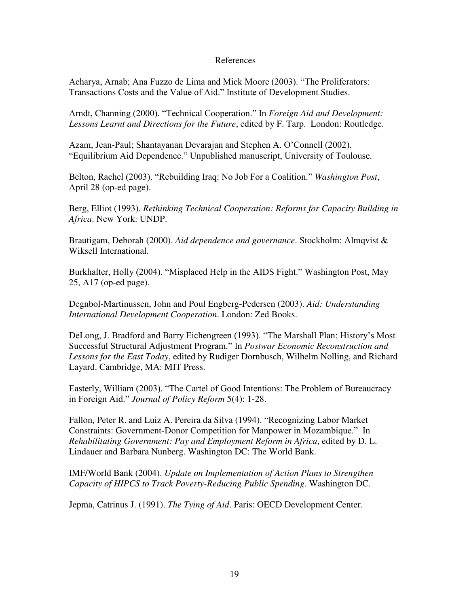#### References

Acharya, Arnab; Ana Fuzzo de Lima and Mick Moore (2003). "The Proliferators: Transactions Costs and the Value of Aid." Institute of Development Studies.

Arndt, Channing (2000). "Technical Cooperation." In Foreign Aid and Development: *Lessons Learnt and Directions for the Future*, edited by F. Tarp. London: Routledge.

Azam, Jean-Paul; Shantayanan Devarajan and Stephen A. O'Connell (2002). ―Equilibrium Aid Dependence.‖ Unpublished manuscript, University of Toulouse.

Belton, Rachel (2003). "Rebuilding Iraq: No Job For a Coalition." *Washington Post*, April 28 (op-ed page).

Berg, Elliot (1993). *Rethinking Technical Cooperation: Reforms for Capacity Building in Africa*. New York: UNDP.

Brautigam, Deborah (2000). *Aid dependence and governance*. Stockholm: Almqvist & Wiksell International.

Burkhalter, Holly (2004). "Misplaced Help in the AIDS Fight." Washington Post, May 25, A17 (op-ed page).

Degnbol-Martinussen, John and Poul Engberg-Pedersen (2003). *Aid: Understanding International Development Cooperation*. London: Zed Books.

DeLong, J. Bradford and Barry Eichengreen (1993). "The Marshall Plan: History's Most Successful Structural Adjustment Program.‖ In *Postwar Economic Reconstruction and Lessons for the East Today*, edited by Rudiger Dornbusch, Wilhelm Nolling, and Richard Layard. Cambridge, MA: MIT Press.

Easterly, William (2003). "The Cartel of Good Intentions: The Problem of Bureaucracy in Foreign Aid." *Journal of Policy Reform* 5(4): 1-28.

Fallon, Peter R. and Luiz A. Pereira da Silva (1994). "Recognizing Labor Market Constraints: Government-Donor Competition for Manpower in Mozambique." In *Rehabilitating Government: Pay and Employment Reform in Africa*, edited by D. L. Lindauer and Barbara Nunberg. Washington DC: The World Bank.

IMF/World Bank (2004). *Update on Implementation of Action Plans to Strengthen Capacity of HIPCS to Track Poverty-Reducing Public Spending*. Washington DC.

Jepma, Catrinus J. (1991). *The Tying of Aid*. Paris: OECD Development Center.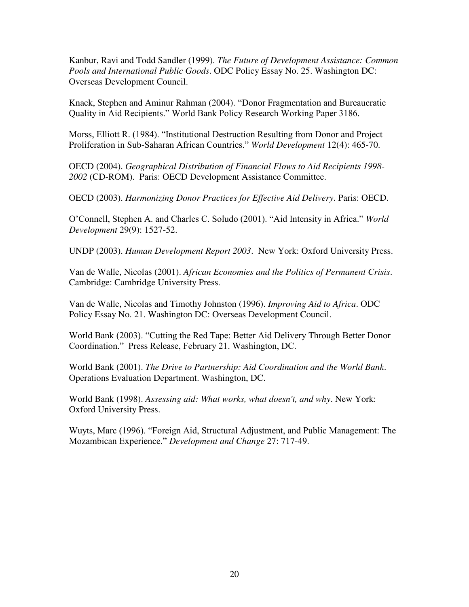Kanbur, Ravi and Todd Sandler (1999). *The Future of Development Assistance: Common Pools and International Public Goods*. ODC Policy Essay No. 25. Washington DC: Overseas Development Council.

Knack, Stephen and Aminur Rahman (2004). "Donor Fragmentation and Bureaucratic Quality in Aid Recipients." World Bank Policy Research Working Paper 3186.

Morss, Elliott R. (1984). "Institutional Destruction Resulting from Donor and Project Proliferation in Sub-Saharan African Countries.‖ *World Development* 12(4): 465-70.

OECD (2004). *Geographical Distribution of Financial Flows to Aid Recipients 1998- 2002* (CD-ROM). Paris: OECD Development Assistance Committee.

OECD (2003). *Harmonizing Donor Practices for Effective Aid Delivery*. Paris: OECD.

O'Connell, Stephen A. and Charles C. Soludo (2001). "Aid Intensity in Africa." *World Development* 29(9): 1527-52.

UNDP (2003). *Human Development Report 2003*. New York: Oxford University Press.

Van de Walle, Nicolas (2001). *African Economies and the Politics of Permanent Crisis*. Cambridge: Cambridge University Press.

Van de Walle, Nicolas and Timothy Johnston (1996). *Improving Aid to Africa*. ODC Policy Essay No. 21. Washington DC: Overseas Development Council.

World Bank (2003). "Cutting the Red Tape: Better Aid Delivery Through Better Donor Coordination.‖ Press Release, February 21. Washington, DC.

World Bank (2001). *The Drive to Partnership: Aid Coordination and the World Bank*. Operations Evaluation Department. Washington, DC.

World Bank (1998). *Assessing aid: What works, what doesn't, and why*. New York: Oxford University Press.

Wuyts, Marc (1996). "Foreign Aid, Structural Adjustment, and Public Management: The Mozambican Experience.‖ *Development and Change* 27: 717-49.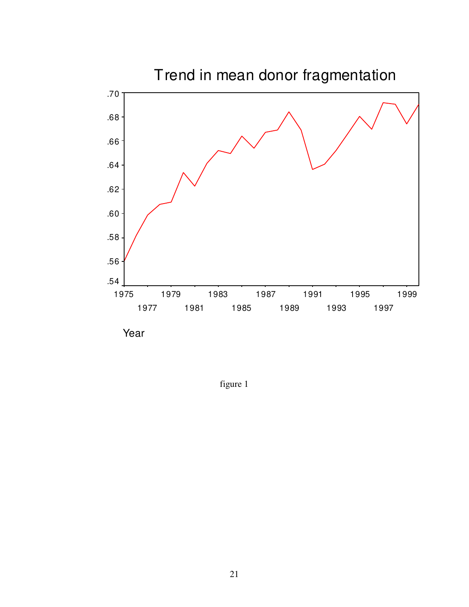

figure 1